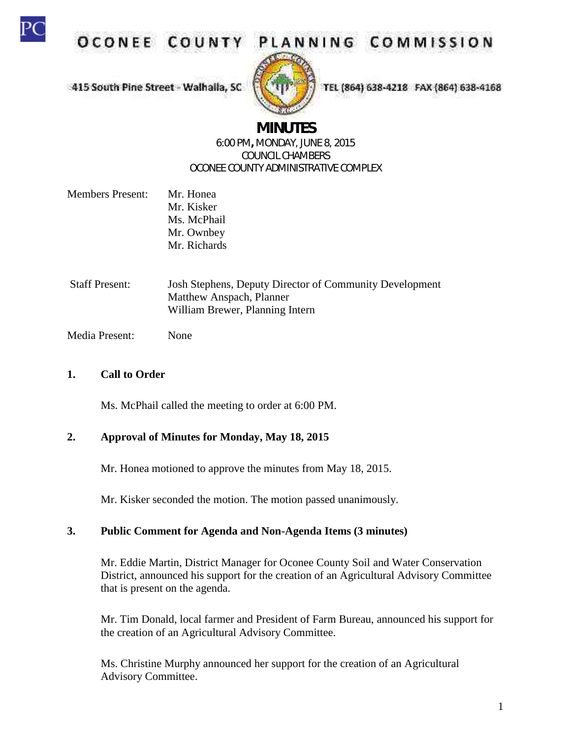

OCONEE COUNT

415 South Pine Street - Walhalla, SC

# PLANNING COMMISSION

TEL (864) 638-4218 FAX (864) 638-4168

# **MINUTES**

#### 6:00 PM**,** MONDAY, JUNE 8, 2015 COUNCIL CHAMBERS OCONEE COUNTY ADMINISTRATIVE COMPLEX

- Members Present: Mr. Honea Mr. Kisker Ms. McPhail Mr. Ownbey Mr. Richards
- Staff Present: Josh Stephens, Deputy Director of Community Development Matthew Anspach, Planner William Brewer, Planning Intern
- Media Present: None

## **1. Call to Order**

Ms. McPhail called the meeting to order at 6:00 PM.

#### **2. Approval of Minutes for Monday, May 18, 2015**

Mr. Honea motioned to approve the minutes from May 18, 2015.

Mr. Kisker seconded the motion. The motion passed unanimously.

# **3. Public Comment for Agenda and Non-Agenda Items (3 minutes)**

Mr. Eddie Martin, District Manager for Oconee County Soil and Water Conservation District, announced his support for the creation of an Agricultural Advisory Committee that is present on the agenda.

Mr. Tim Donald, local farmer and President of Farm Bureau, announced his support for the creation of an Agricultural Advisory Committee.

Ms. Christine Murphy announced her support for the creation of an Agricultural Advisory Committee.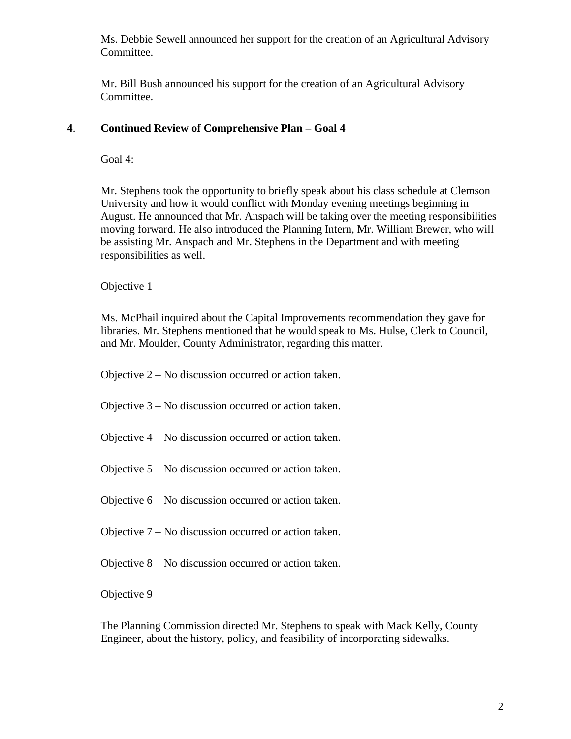Ms. Debbie Sewell announced her support for the creation of an Agricultural Advisory Committee.

Mr. Bill Bush announced his support for the creation of an Agricultural Advisory Committee.

#### **4**. **Continued Review of Comprehensive Plan – Goal 4**

Goal 4:

Mr. Stephens took the opportunity to briefly speak about his class schedule at Clemson University and how it would conflict with Monday evening meetings beginning in August. He announced that Mr. Anspach will be taking over the meeting responsibilities moving forward. He also introduced the Planning Intern, Mr. William Brewer, who will be assisting Mr. Anspach and Mr. Stephens in the Department and with meeting responsibilities as well.

Objective 1 –

Ms. McPhail inquired about the Capital Improvements recommendation they gave for libraries. Mr. Stephens mentioned that he would speak to Ms. Hulse, Clerk to Council, and Mr. Moulder, County Administrator, regarding this matter.

Objective 2 – No discussion occurred or action taken.

Objective 3 – No discussion occurred or action taken.

Objective 4 – No discussion occurred or action taken.

Objective 5 – No discussion occurred or action taken.

Objective 6 – No discussion occurred or action taken.

Objective 7 – No discussion occurred or action taken.

Objective 8 – No discussion occurred or action taken.

Objective 9 –

The Planning Commission directed Mr. Stephens to speak with Mack Kelly, County Engineer, about the history, policy, and feasibility of incorporating sidewalks.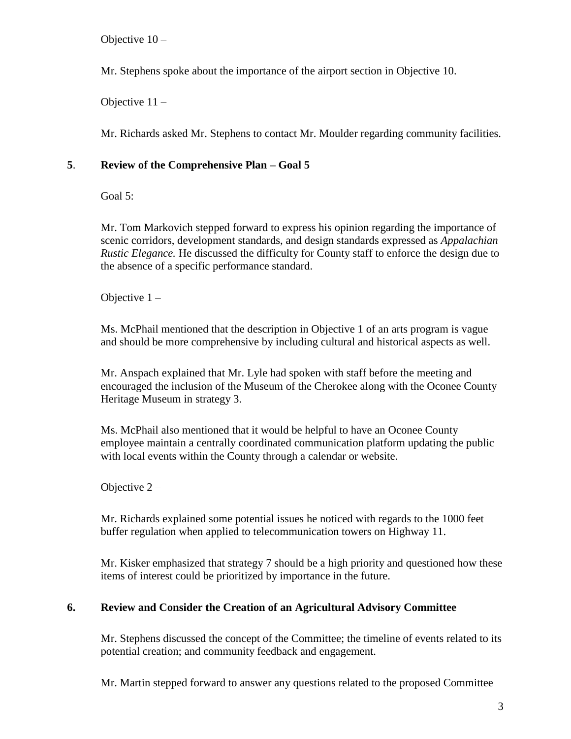Objective 10 –

Mr. Stephens spoke about the importance of the airport section in Objective 10.

Objective 11 –

Mr. Richards asked Mr. Stephens to contact Mr. Moulder regarding community facilities.

### **5**. **Review of the Comprehensive Plan – Goal 5**

Goal 5:

Mr. Tom Markovich stepped forward to express his opinion regarding the importance of scenic corridors, development standards, and design standards expressed as *Appalachian Rustic Elegance.* He discussed the difficulty for County staff to enforce the design due to the absence of a specific performance standard.

Objective 1 –

Ms. McPhail mentioned that the description in Objective 1 of an arts program is vague and should be more comprehensive by including cultural and historical aspects as well.

Mr. Anspach explained that Mr. Lyle had spoken with staff before the meeting and encouraged the inclusion of the Museum of the Cherokee along with the Oconee County Heritage Museum in strategy 3.

Ms. McPhail also mentioned that it would be helpful to have an Oconee County employee maintain a centrally coordinated communication platform updating the public with local events within the County through a calendar or website.

Objective 2 –

Mr. Richards explained some potential issues he noticed with regards to the 1000 feet buffer regulation when applied to telecommunication towers on Highway 11.

Mr. Kisker emphasized that strategy 7 should be a high priority and questioned how these items of interest could be prioritized by importance in the future.

# **6. Review and Consider the Creation of an Agricultural Advisory Committee**

Mr. Stephens discussed the concept of the Committee; the timeline of events related to its potential creation; and community feedback and engagement.

Mr. Martin stepped forward to answer any questions related to the proposed Committee